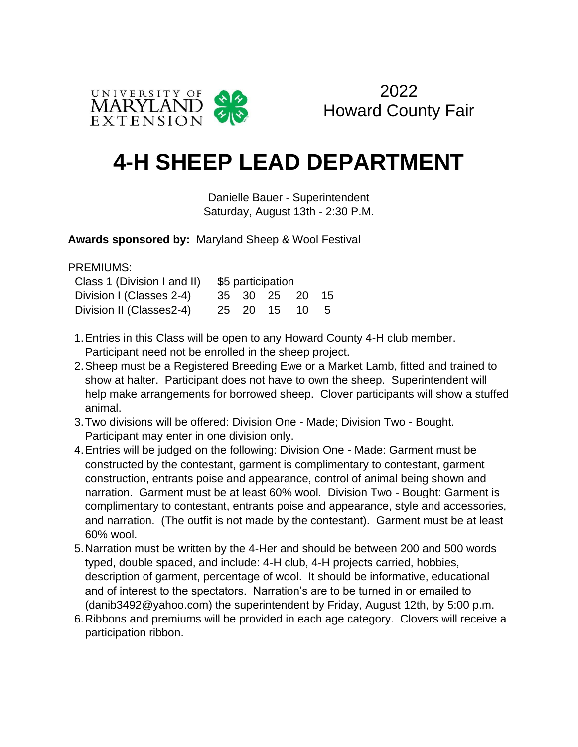

## **4-H SHEEP LEAD DEPARTMENT**

Danielle Bauer - Superintendent Saturday, August 13th - 2:30 P.M.

**Awards sponsored by:** Maryland Sheep & Wool Festival

PREMIUMS:

| Class 1 (Division I and II) | \$5 participation |  |             |               |      |
|-----------------------------|-------------------|--|-------------|---------------|------|
| Division I (Classes 2-4)    |                   |  | 35 30 25 20 |               | - 15 |
| Division II (Classes2-4)    |                   |  |             | 25 20 15 10 5 |      |

- 1.Entries in this Class will be open to any Howard County 4-H club member. Participant need not be enrolled in the sheep project.
- 2.Sheep must be a Registered Breeding Ewe or a Market Lamb, fitted and trained to show at halter. Participant does not have to own the sheep. Superintendent will help make arrangements for borrowed sheep. Clover participants will show a stuffed animal.
- 3.Two divisions will be offered: Division One Made; Division Two Bought. Participant may enter in one division only.
- 4.Entries will be judged on the following: Division One Made: Garment must be constructed by the contestant, garment is complimentary to contestant, garment construction, entrants poise and appearance, control of animal being shown and narration. Garment must be at least 60% wool. Division Two - Bought: Garment is complimentary to contestant, entrants poise and appearance, style and accessories, and narration. (The outfit is not made by the contestant). Garment must be at least 60% wool.
- 5.Narration must be written by the 4-Her and should be between 200 and 500 words typed, double spaced, and include: 4-H club, 4-H projects carried, hobbies, description of garment, percentage of wool. It should be informative, educational and of interest to the spectators. Narration's are to be turned in or emailed to (danib3492@yahoo.com) the superintendent by Friday, August 12th, by 5:00 p.m.
- 6.Ribbons and premiums will be provided in each age category. Clovers will receive a participation ribbon.